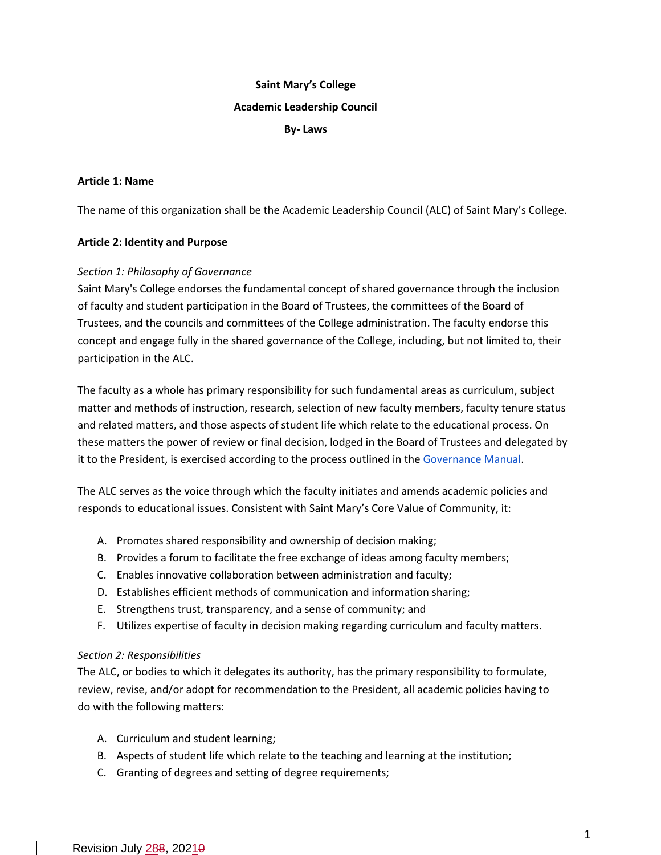# **Saint Mary's College Academic Leadership Council**

#### **By- Laws**

#### **Article 1: Name**

The name of this organization shall be the Academic Leadership Council (ALC) of Saint Mary's College.

## **Article 2: Identity and Purpose**

## *Section 1: Philosophy of Governance*

Saint Mary's College endorses the fundamental concept of shared governance through the inclusion of faculty and student participation in the Board of Trustees, the committees of the Board of Trustees, and the councils and committees of the College administration. The faculty endorse this concept and engage fully in the shared governance of the College, including, but not limited to, their participation in the ALC.

The faculty as a whole has primary responsibility for such fundamental areas as curriculum, subject matter and methods of instruction, research, selection of new faculty members, faculty tenure status and related matters, and those aspects of student life which relate to the educational process. On these matters the power of review or final decision, lodged in the Board of Trustees and delegated by it to the President, is exercised according to the process outlined in the [Governance Manual.](http://handbook.saintmarys.edu/faculty-policies-procedures/faculty-responsibilities)

The ALC serves as the voice through which the faculty initiates and amends academic policies and responds to educational issues. Consistent with Saint Mary's Core Value of Community, it:

- A. Promotes shared responsibility and ownership of decision making;
- B. Provides a forum to facilitate the free exchange of ideas among faculty members;
- C. Enables innovative collaboration between administration and faculty;
- D. Establishes efficient methods of communication and information sharing;
- E. Strengthens trust, transparency, and a sense of community; and
- F. Utilizes expertise of faculty in decision making regarding curriculum and faculty matters.

#### *Section 2: Responsibilities*

The ALC, or bodies to which it delegates its authority, has the primary responsibility to formulate, review, revise, and/or adopt for recommendation to the President, all academic policies having to do with the following matters:

- A. Curriculum and student learning;
- B. Aspects of student life which relate to the teaching and learning at the institution;
- C. Granting of degrees and setting of degree requirements;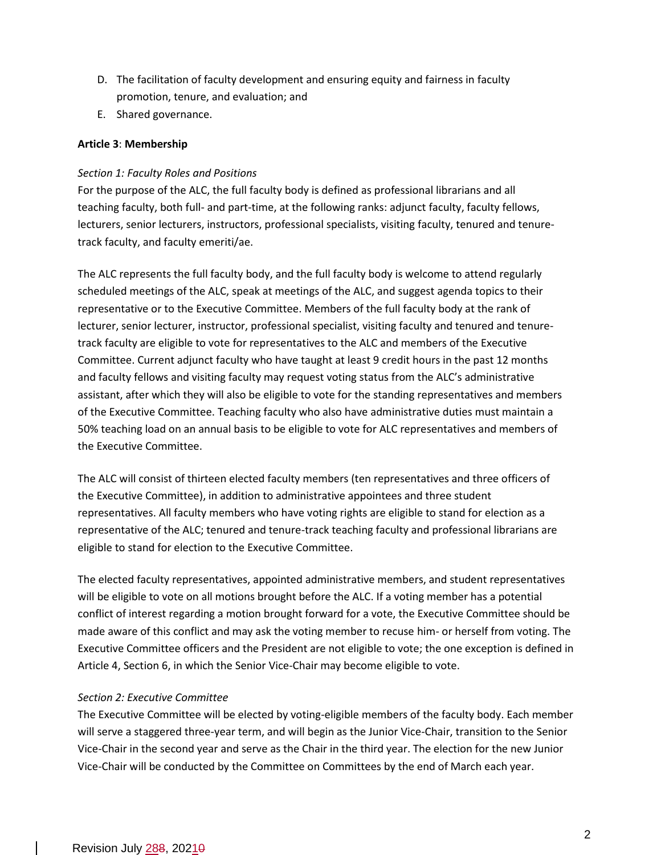- D. The facilitation of faculty development and ensuring equity and fairness in faculty promotion, tenure, and evaluation; and
- E. Shared governance.

## **Article 3**: **Membership**

## *Section 1: Faculty Roles and Positions*

For the purpose of the ALC, the full faculty body is defined as professional librarians and all teaching faculty, both full- and part-time, at the following ranks: adjunct faculty, faculty fellows, lecturers, senior lecturers, instructors, professional specialists, visiting faculty, tenured and tenuretrack faculty, and faculty emeriti/ae.

The ALC represents the full faculty body, and the full faculty body is welcome to attend regularly scheduled meetings of the ALC, speak at meetings of the ALC, and suggest agenda topics to their representative or to the Executive Committee. Members of the full faculty body at the rank of lecturer, senior lecturer, instructor, professional specialist, visiting faculty and tenured and tenuretrack faculty are eligible to vote for representatives to the ALC and members of the Executive Committee. Current adjunct faculty who have taught at least 9 credit hours in the past 12 months and faculty fellows and visiting faculty may request voting status from the ALC's administrative assistant, after which they will also be eligible to vote for the standing representatives and members of the Executive Committee. Teaching faculty who also have administrative duties must maintain a 50% teaching load on an annual basis to be eligible to vote for ALC representatives and members of the Executive Committee.

The ALC will consist of thirteen elected faculty members (ten representatives and three officers of the Executive Committee), in addition to administrative appointees and three student representatives. All faculty members who have voting rights are eligible to stand for election as a representative of the ALC; tenured and tenure-track teaching faculty and professional librarians are eligible to stand for election to the Executive Committee.

The elected faculty representatives, appointed administrative members, and student representatives will be eligible to vote on all motions brought before the ALC. If a voting member has a potential conflict of interest regarding a motion brought forward for a vote, the Executive Committee should be made aware of this conflict and may ask the voting member to recuse him- or herself from voting. The Executive Committee officers and the President are not eligible to vote; the one exception is defined in Article 4, Section 6, in which the Senior Vice-Chair may become eligible to vote.

#### *Section 2: Executive Committee*

The Executive Committee will be elected by voting-eligible members of the faculty body. Each member will serve a staggered three-year term, and will begin as the Junior Vice-Chair, transition to the Senior Vice-Chair in the second year and serve as the Chair in the third year. The election for the new Junior Vice-Chair will be conducted by the Committee on Committees by the end of March each year.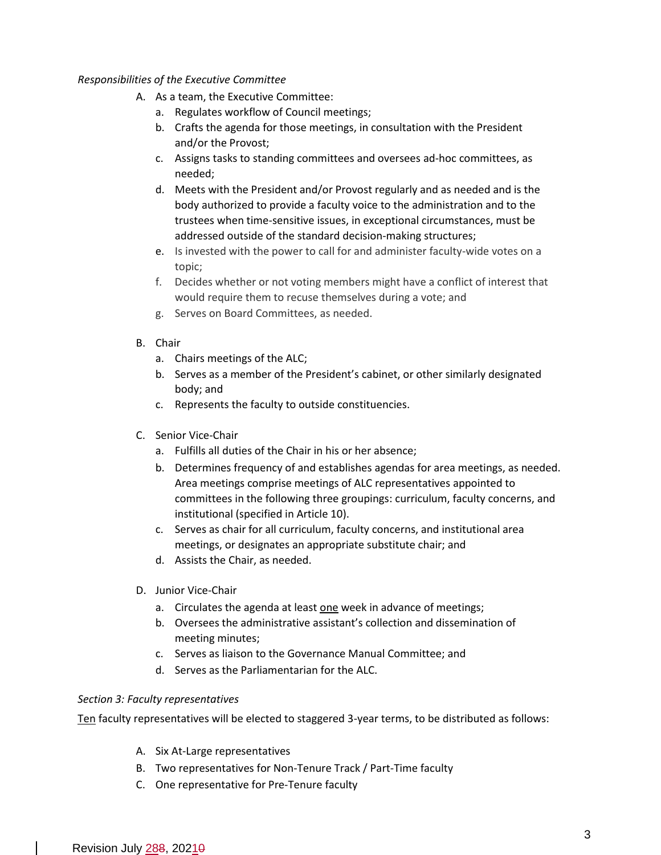#### *Responsibilities of the Executive Committee*

- A. As a team, the Executive Committee:
	- a. Regulates workflow of Council meetings;
	- b. Crafts the agenda for those meetings, in consultation with the President and/or the Provost;
	- c. Assigns tasks to standing committees and oversees ad-hoc committees, as needed;
	- d. Meets with the President and/or Provost regularly and as needed and is the body authorized to provide a faculty voice to the administration and to the trustees when time-sensitive issues, in exceptional circumstances, must be addressed outside of the standard decision-making structures;
	- e. Is invested with the power to call for and administer faculty-wide votes on a topic;
	- f. Decides whether or not voting members might have a conflict of interest that would require them to recuse themselves during a vote; and
	- g. Serves on Board Committees, as needed.
- B. Chair
	- a. Chairs meetings of the ALC;
	- b. Serves as a member of the President's cabinet, or other similarly designated body; and
	- c. Represents the faculty to outside constituencies.
- C. Senior Vice-Chair
	- a. Fulfills all duties of the Chair in his or her absence;
	- b. Determines frequency of and establishes agendas for area meetings, as needed. Area meetings comprise meetings of ALC representatives appointed to committees in the following three groupings: curriculum, faculty concerns, and institutional (specified in Article 10).
	- c. Serves as chair for all curriculum, faculty concerns, and institutional area meetings, or designates an appropriate substitute chair; and
	- d. Assists the Chair, as needed.
- D. Junior Vice-Chair
	- a. Circulates the agenda at least one week in advance of meetings;
	- b. Oversees the administrative assistant's collection and dissemination of meeting minutes;
	- c. Serves as liaison to the Governance Manual Committee; and
	- d. Serves as the Parliamentarian for the ALC.

#### *Section 3: Faculty representatives*

Ten faculty representatives will be elected to staggered 3-year terms, to be distributed as follows:

- A. Six At-Large representatives
- B. Two representatives for Non-Tenure Track / Part-Time faculty
- C. One representative for Pre-Tenure faculty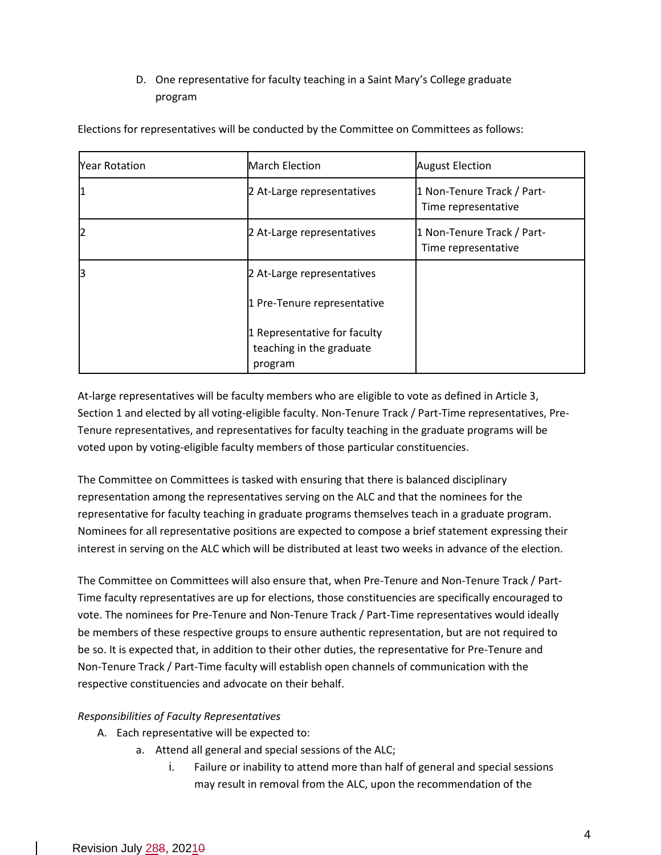# D. One representative for faculty teaching in a Saint Mary's College graduate program

| <b>Year Rotation</b> | <b>March Election</b>                                               | <b>August Election</b>                            |
|----------------------|---------------------------------------------------------------------|---------------------------------------------------|
|                      | 2 At-Large representatives                                          | 1 Non-Tenure Track / Part-<br>Time representative |
|                      | 2 At-Large representatives                                          | 1 Non-Tenure Track / Part-<br>Time representative |
| lЗ                   | 2 At-Large representatives                                          |                                                   |
|                      | 1 Pre-Tenure representative                                         |                                                   |
|                      | 1 Representative for faculty<br>teaching in the graduate<br>program |                                                   |

Elections for representatives will be conducted by the Committee on Committees as follows:

At-large representatives will be faculty members who are eligible to vote as defined in Article 3, Section 1 and elected by all voting-eligible faculty. Non-Tenure Track / Part-Time representatives, Pre-Tenure representatives, and representatives for faculty teaching in the graduate programs will be voted upon by voting-eligible faculty members of those particular constituencies.

The Committee on Committees is tasked with ensuring that there is balanced disciplinary representation among the representatives serving on the ALC and that the nominees for the representative for faculty teaching in graduate programs themselves teach in a graduate program. Nominees for all representative positions are expected to compose a brief statement expressing their interest in serving on the ALC which will be distributed at least two weeks in advance of the election.

The Committee on Committees will also ensure that, when Pre-Tenure and Non-Tenure Track / Part-Time faculty representatives are up for elections, those constituencies are specifically encouraged to vote. The nominees for Pre-Tenure and Non-Tenure Track / Part-Time representatives would ideally be members of these respective groups to ensure authentic representation, but are not required to be so. It is expected that, in addition to their other duties, the representative for Pre-Tenure and Non-Tenure Track / Part-Time faculty will establish open channels of communication with the respective constituencies and advocate on their behalf.

# *Responsibilities of Faculty Representatives*

- A. Each representative will be expected to:
	- a. Attend all general and special sessions of the ALC;
		- i. Failure or inability to attend more than half of general and special sessions may result in removal from the ALC, upon the recommendation of the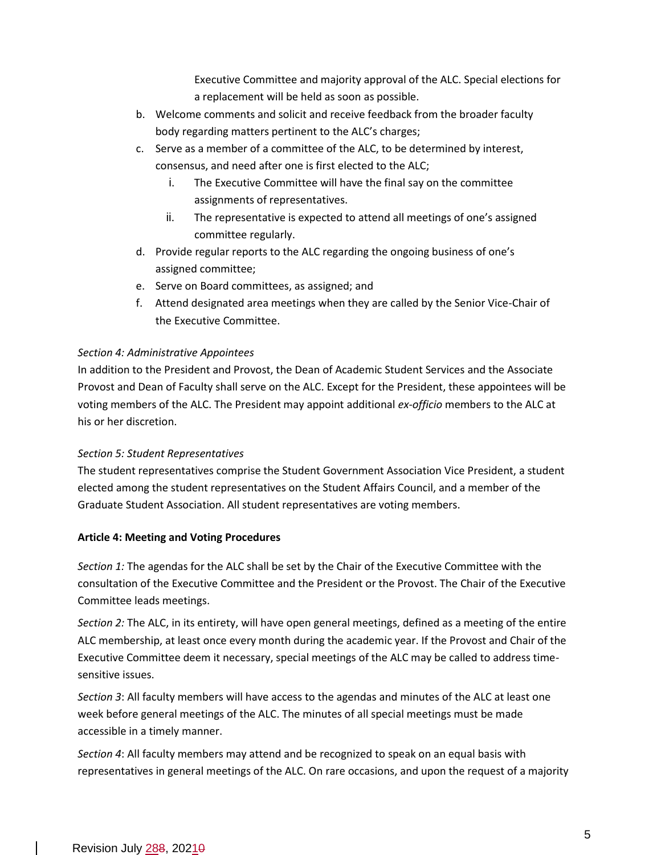Executive Committee and majority approval of the ALC. Special elections for a replacement will be held as soon as possible.

- b. Welcome comments and solicit and receive feedback from the broader faculty body regarding matters pertinent to the ALC's charges;
- c. Serve as a member of a committee of the ALC, to be determined by interest, consensus, and need after one is first elected to the ALC;
	- i. The Executive Committee will have the final say on the committee assignments of representatives.
	- ii. The representative is expected to attend all meetings of one's assigned committee regularly.
- d. Provide regular reports to the ALC regarding the ongoing business of one's assigned committee;
- e. Serve on Board committees, as assigned; and
- f. Attend designated area meetings when they are called by the Senior Vice-Chair of the Executive Committee.

# *Section 4: Administrative Appointees*

In addition to the President and Provost, the Dean of Academic Student Services and the Associate Provost and Dean of Faculty shall serve on the ALC. Except for the President, these appointees will be voting members of the ALC. The President may appoint additional *ex-officio* members to the ALC at his or her discretion.

#### *Section 5: Student Representatives*

The student representatives comprise the Student Government Association Vice President, a student elected among the student representatives on the Student Affairs Council, and a member of the Graduate Student Association. All student representatives are voting members.

#### **Article 4: Meeting and Voting Procedures**

*Section 1:* The agendas for the ALC shall be set by the Chair of the Executive Committee with the consultation of the Executive Committee and the President or the Provost. The Chair of the Executive Committee leads meetings.

*Section 2:* The ALC, in its entirety, will have open general meetings, defined as a meeting of the entire ALC membership, at least once every month during the academic year. If the Provost and Chair of the Executive Committee deem it necessary, special meetings of the ALC may be called to address timesensitive issues.

*Section 3*: All faculty members will have access to the agendas and minutes of the ALC at least one week before general meetings of the ALC. The minutes of all special meetings must be made accessible in a timely manner.

*Section 4*: All faculty members may attend and be recognized to speak on an equal basis with representatives in general meetings of the ALC. On rare occasions, and upon the request of a majority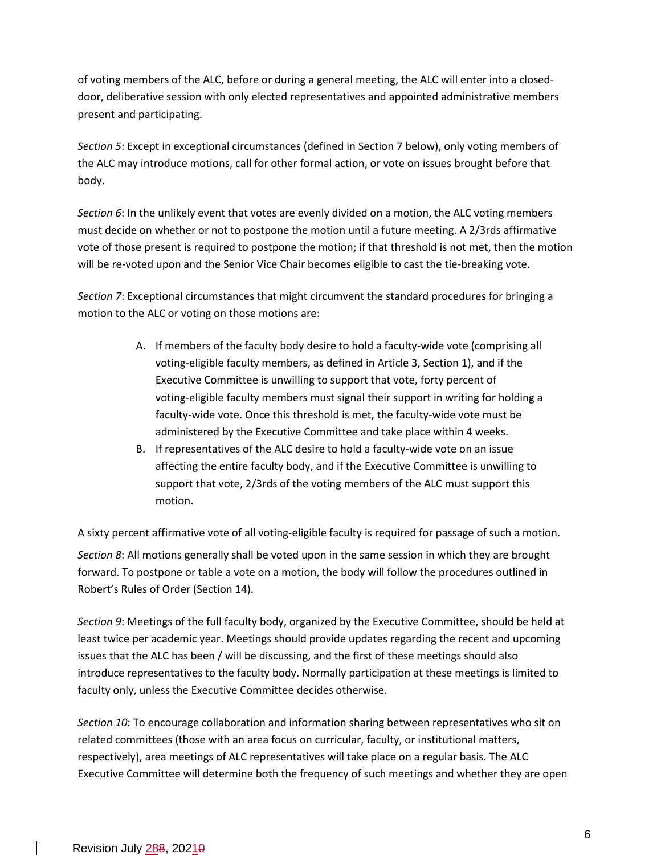of voting members of the ALC, before or during a general meeting, the ALC will enter into a closeddoor, deliberative session with only elected representatives and appointed administrative members present and participating.

*Section 5*: Except in exceptional circumstances (defined in Section 7 below), only voting members of the ALC may introduce motions, call for other formal action, or vote on issues brought before that body.

*Section 6*: In the unlikely event that votes are evenly divided on a motion, the ALC voting members must decide on whether or not to postpone the motion until a future meeting. A 2/3rds affirmative vote of those present is required to postpone the motion; if that threshold is not met, then the motion will be re-voted upon and the Senior Vice Chair becomes eligible to cast the tie-breaking vote.

*Section 7*: Exceptional circumstances that might circumvent the standard procedures for bringing a motion to the ALC or voting on those motions are:

- A. If members of the faculty body desire to hold a faculty-wide vote (comprising all voting-eligible faculty members, as defined in Article 3, Section 1), and if the Executive Committee is unwilling to support that vote, forty percent of voting-eligible faculty members must signal their support in writing for holding a faculty-wide vote. Once this threshold is met, the faculty-wide vote must be administered by the Executive Committee and take place within 4 weeks.
- B. If representatives of the ALC desire to hold a faculty-wide vote on an issue affecting the entire faculty body, and if the Executive Committee is unwilling to support that vote, 2/3rds of the voting members of the ALC must support this motion.

A sixty percent affirmative vote of all voting-eligible faculty is required for passage of such a motion. *Section 8*: All motions generally shall be voted upon in the same session in which they are brought forward. To postpone or table a vote on a motion, the body will follow the procedures outlined in Robert's Rules of Order (Section 14).

*Section 9*: Meetings of the full faculty body, organized by the Executive Committee, should be held at least twice per academic year. Meetings should provide updates regarding the recent and upcoming issues that the ALC has been / will be discussing, and the first of these meetings should also introduce representatives to the faculty body. Normally participation at these meetings is limited to faculty only, unless the Executive Committee decides otherwise.

*Section 10*: To encourage collaboration and information sharing between representatives who sit on related committees (those with an area focus on curricular, faculty, or institutional matters, respectively), area meetings of ALC representatives will take place on a regular basis. The ALC Executive Committee will determine both the frequency of such meetings and whether they are open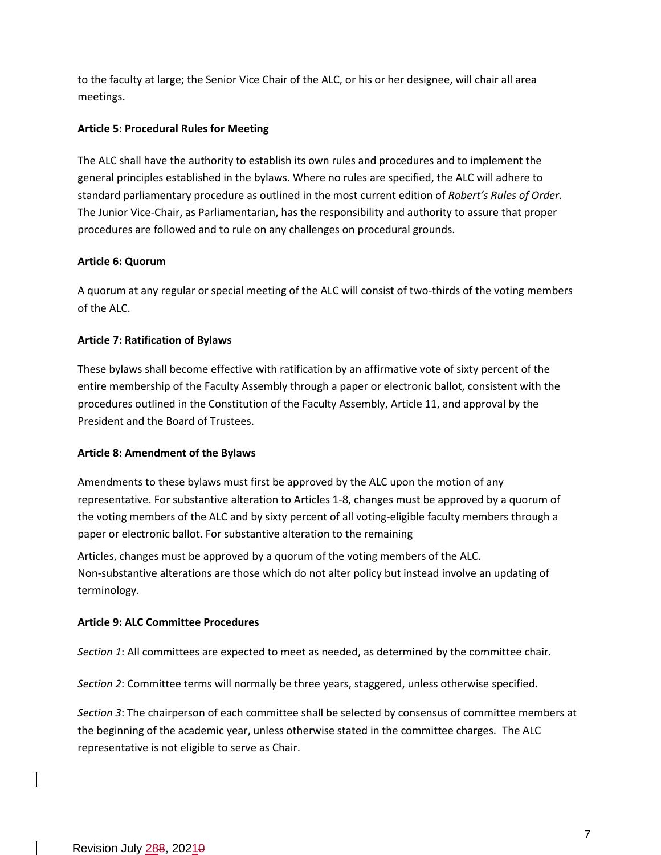to the faculty at large; the Senior Vice Chair of the ALC, or his or her designee, will chair all area meetings.

#### **Article 5: Procedural Rules for Meeting**

The ALC shall have the authority to establish its own rules and procedures and to implement the general principles established in the bylaws. Where no rules are specified, the ALC will adhere to standard parliamentary procedure as outlined in the most current edition of *Robert's Rules of Order*. The Junior Vice-Chair, as Parliamentarian, has the responsibility and authority to assure that proper procedures are followed and to rule on any challenges on procedural grounds.

## **Article 6: Quorum**

A quorum at any regular or special meeting of the ALC will consist of two-thirds of the voting members of the ALC.

# **Article 7: Ratification of Bylaws**

These bylaws shall become effective with ratification by an affirmative vote of sixty percent of the entire membership of the Faculty Assembly through a paper or electronic ballot, consistent with the procedures outlined in the Constitution of the Faculty Assembly, Article 11, and approval by the President and the Board of Trustees.

#### **Article 8: Amendment of the Bylaws**

Amendments to these bylaws must first be approved by the ALC upon the motion of any representative. For substantive alteration to Articles 1-8, changes must be approved by a quorum of the voting members of the ALC and by sixty percent of all voting-eligible faculty members through a paper or electronic ballot. For substantive alteration to the remaining

Articles, changes must be approved by a quorum of the voting members of the ALC. Non-substantive alterations are those which do not alter policy but instead involve an updating of terminology.

# **Article 9: ALC Committee Procedures**

*Section 1*: All committees are expected to meet as needed, as determined by the committee chair.

*Section 2*: Committee terms will normally be three years, staggered, unless otherwise specified.

*Section 3*: The chairperson of each committee shall be selected by consensus of committee members at the beginning of the academic year, unless otherwise stated in the committee charges. The ALC representative is not eligible to serve as Chair.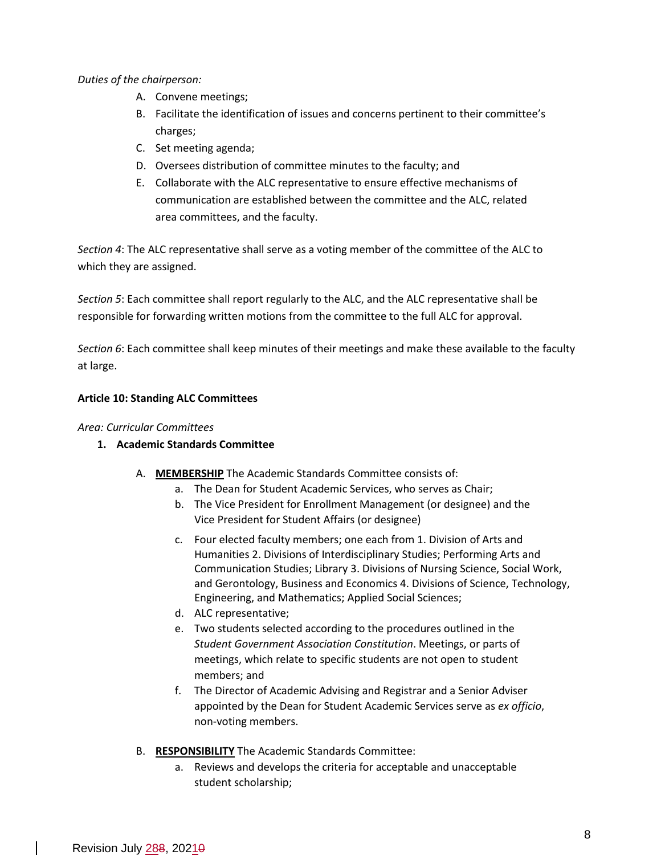*Duties of the chairperson:*

- A. Convene meetings;
- B. Facilitate the identification of issues and concerns pertinent to their committee's charges;
- C. Set meeting agenda;
- D. Oversees distribution of committee minutes to the faculty; and
- E. Collaborate with the ALC representative to ensure effective mechanisms of communication are established between the committee and the ALC, related area committees, and the faculty.

*Section 4*: The ALC representative shall serve as a voting member of the committee of the ALC to which they are assigned.

*Section 5*: Each committee shall report regularly to the ALC, and the ALC representative shall be responsible for forwarding written motions from the committee to the full ALC for approval.

*Section 6*: Each committee shall keep minutes of their meetings and make these available to the faculty at large.

## **Article 10: Standing ALC Committees**

## *Area: Curricular Committees*

- **1. Academic Standards Committee**
	- A. **MEMBERSHIP** The Academic Standards Committee consists of:
		- a. The Dean for Student Academic Services, who serves as Chair;
		- b. The Vice President for Enrollment Management (or designee) and the Vice President for Student Affairs (or designee)
		- c. Four elected faculty members; one each from 1. Division of Arts and Humanities 2. Divisions of Interdisciplinary Studies; Performing Arts and Communication Studies; Library 3. Divisions of Nursing Science, Social Work, and Gerontology, Business and Economics 4. Divisions of Science, Technology, Engineering, and Mathematics; Applied Social Sciences;
		- d. ALC representative;
		- e. Two students selected according to the procedures outlined in the *Student Government Association Constitution*. Meetings, or parts of meetings, which relate to specific students are not open to student members; and
		- f. The Director of Academic Advising and Registrar and a Senior Adviser appointed by the Dean for Student Academic Services serve as *ex officio*, non-voting members.
	- B. **RESPONSIBILITY** The Academic Standards Committee:
		- a. Reviews and develops the criteria for acceptable and unacceptable student scholarship;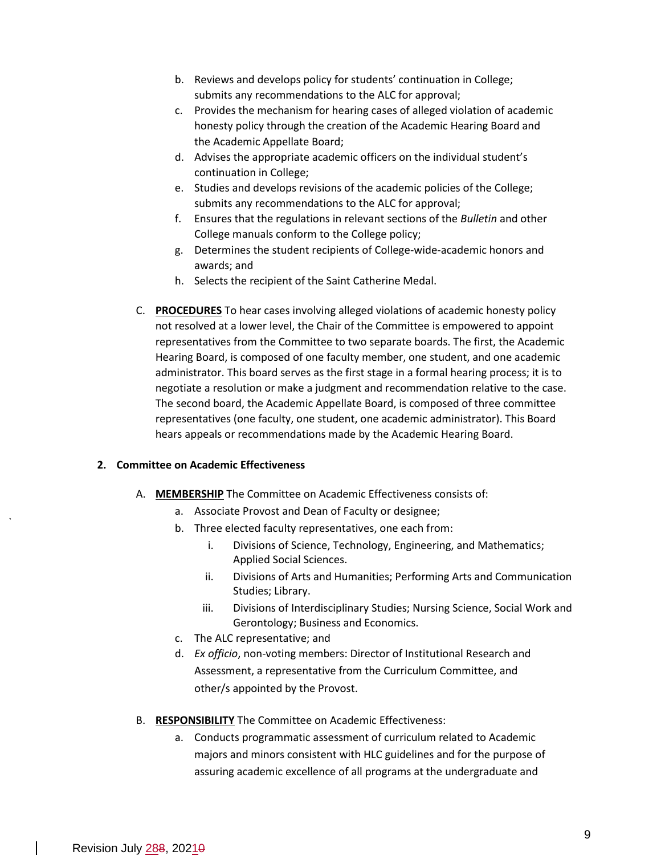- b. Reviews and develops policy for students' continuation in College; submits any recommendations to the ALC for approval;
- c. Provides the mechanism for hearing cases of alleged violation of academic honesty policy through the creation of the Academic Hearing Board and the Academic Appellate Board;
- d. Advises the appropriate academic officers on the individual student's continuation in College;
- e. Studies and develops revisions of the academic policies of the College; submits any recommendations to the ALC for approval;
- f. Ensures that the regulations in relevant sections of the *Bulletin* and other College manuals conform to the College policy;
- g. Determines the student recipients of College-wide-academic honors and awards; and
- h. Selects the recipient of the Saint Catherine Medal.
- C. **PROCEDURES** To hear cases involving alleged violations of academic honesty policy not resolved at a lower level, the Chair of the Committee is empowered to appoint representatives from the Committee to two separate boards. The first, the Academic Hearing Board, is composed of one faculty member, one student, and one academic administrator. This board serves as the first stage in a formal hearing process; it is to negotiate a resolution or make a judgment and recommendation relative to the case. The second board, the Academic Appellate Board, is composed of three committee representatives (one faculty, one student, one academic administrator). This Board hears appeals or recommendations made by the Academic Hearing Board.

#### **2. Committee on Academic Effectiveness**

- A. **MEMBERSHIP** The Committee on Academic Effectiveness consists of:
	- a. Associate Provost and Dean of Faculty or designee;
	- b. Three elected faculty representatives, one each from:
		- i. Divisions of Science, Technology, Engineering, and Mathematics; Applied Social Sciences.
		- ii. Divisions of Arts and Humanities; Performing Arts and Communication Studies; Library.
		- iii. Divisions of Interdisciplinary Studies; Nursing Science, Social Work and Gerontology; Business and Economics.
	- c. The ALC representative; and
	- d. *Ex officio*, non-voting members: Director of Institutional Research and Assessment, a representative from the Curriculum Committee, and other/s appointed by the Provost.
- B. **RESPONSIBILITY** The Committee on Academic Effectiveness:
	- a. Conducts programmatic assessment of curriculum related to Academic majors and minors consistent with HLC guidelines and for the purpose of assuring academic excellence of all programs at the undergraduate and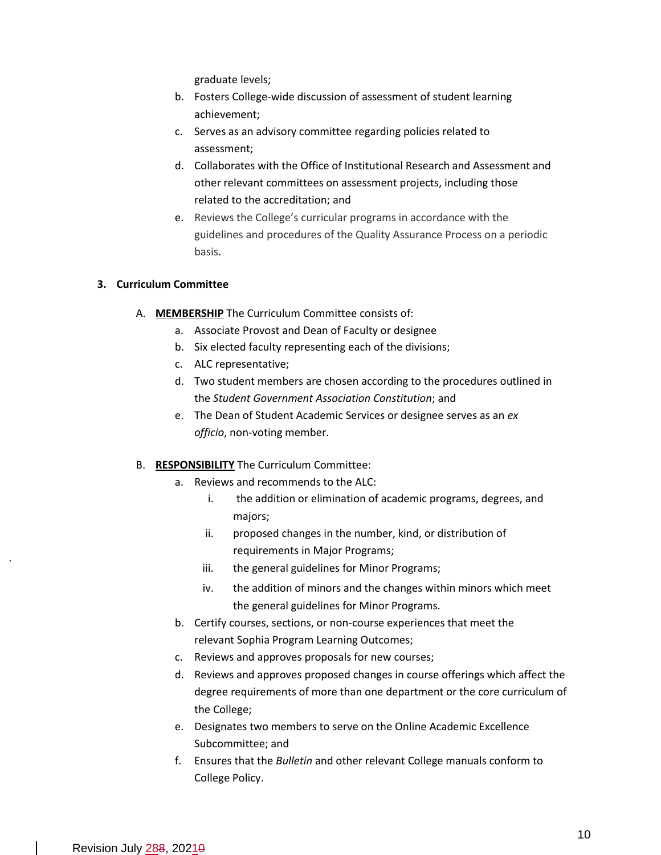graduate levels;

- b. Fosters College-wide discussion of assessment of student learning achievement;
- c. Serves as an advisory committee regarding policies related to assessment;
- d. Collaborates with the Office of Institutional Research and Assessment and other relevant committees on assessment projects, including those related to the accreditation; and
- e. Reviews the College's curricular programs in accordance with the guidelines and procedures of the Quality Assurance Process on a periodic basis.

#### **3. Curriculum Committee**

- A. **MEMBERSHIP** The Curriculum Committee consists of:
	- a. Associate Provost and Dean of Faculty or designee
	- b. Six elected faculty representing each of the divisions;
	- c. ALC representative;
	- d. Two student members are chosen according to the procedures outlined in the *Student Government Association Constitution*; and
	- e. The Dean of Student Academic Services or designee serves as an *ex officio*, non-voting member.

#### B. **RESPONSIBILITY** The Curriculum Committee:

- a. Reviews and recommends to the ALC:
	- i. the addition or elimination of academic programs, degrees, and majors;
	- ii. proposed changes in the number, kind, or distribution of requirements in Major Programs;
	- iii. the general guidelines for Minor Programs;
	- iv. the addition of minors and the changes within minors which meet the general guidelines for Minor Programs.
- b. Certify courses, sections, or non-course experiences that meet the relevant Sophia Program Learning Outcomes;
- c. Reviews and approves proposals for new courses;
- d. Reviews and approves proposed changes in course offerings which affect the degree requirements of more than one department or the core curriculum of the College;
- e. Designates two members to serve on the Online Academic Excellence Subcommittee; and
- f. Ensures that the *Bulletin* and other relevant College manuals conform to College Policy.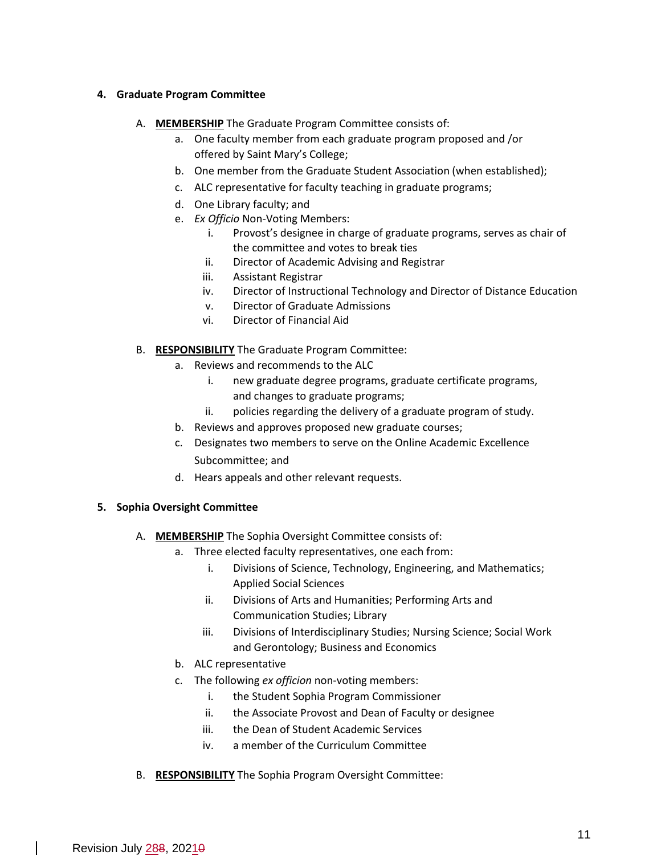#### <sup>1</sup> **4. Graduate Program Committee**

- A. **MEMBERSHIP** The Graduate Program Committee consists of:
	- a. One faculty member from each graduate program proposed and /or offered by Saint Mary's College;
	- b. One member from the Graduate Student Association (when established);
	- c. ALC representative for faculty teaching in graduate programs;
	- d. One Library faculty; and
	- e. *Ex Officio* Non-Voting Members:
		- i. Provost's designee in charge of graduate programs, serves as chair of the committee and votes to break ties
		- ii. Director of Academic Advising and Registrar
		- iii. Assistant Registrar
		- iv. Director of Instructional Technology and Director of Distance Education
		- v. Director of Graduate Admissions
		- vi. Director of Financial Aid
- B. **RESPONSIBILITY** The Graduate Program Committee:
	- a. Reviews and recommends to the ALC
		- i. new graduate degree programs, graduate certificate programs, and changes to graduate programs;
		- ii. policies regarding the delivery of a graduate program of study.
	- b. Reviews and approves proposed new graduate courses;
	- c. Designates two members to serve on the Online Academic Excellence Subcommittee; and
	- d. Hears appeals and other relevant requests.

#### **5. Sophia Oversight Committee**

- A. **MEMBERSHIP** The Sophia Oversight Committee consists of:
	- a. Three elected faculty representatives, one each from:
		- i. Divisions of Science, Technology, Engineering, and Mathematics; Applied Social Sciences
		- ii. Divisions of Arts and Humanities; Performing Arts and Communication Studies; Library
		- iii. Divisions of Interdisciplinary Studies; Nursing Science; Social Work and Gerontology; Business and Economics
	- b. ALC representative
	- c. The following *ex officion* non-voting members:
		- i. the Student Sophia Program Commissioner
		- ii. the Associate Provost and Dean of Faculty or designee
		- iii. the Dean of Student Academic Services
		- iv. a member of the Curriculum Committee
- B. **RESPONSIBILITY** The Sophia Program Oversight Committee: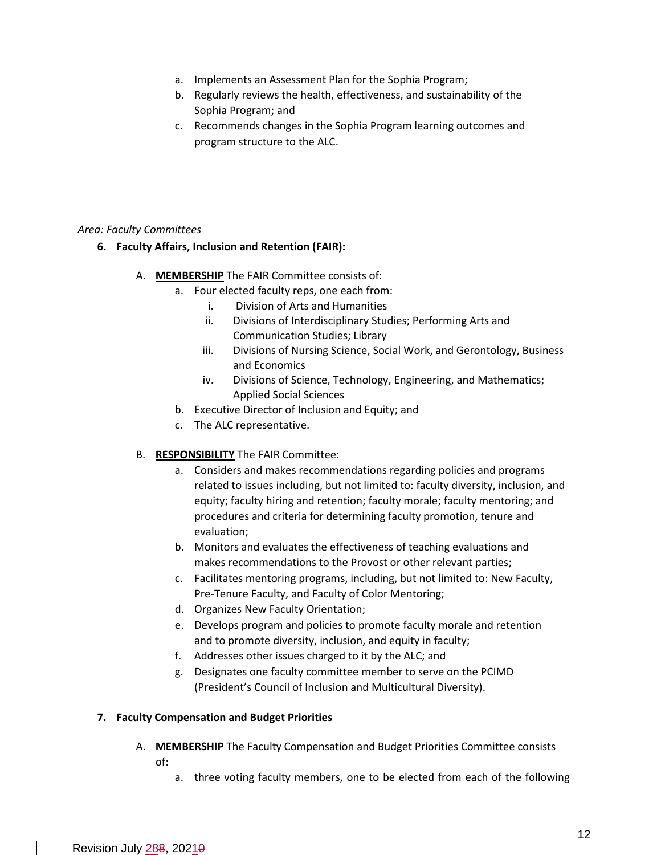- a. Implements an Assessment Plan for the Sophia Program;
- b. Regularly reviews the health, effectiveness, and sustainability of the Sophia Program; and
- c. Recommends changes in the Sophia Program learning outcomes and program structure to the ALC.

#### *Area: Faculty Committees*

- **6. Faculty Affairs, Inclusion and Retention (FAIR):**
	- A. **MEMBERSHIP** The FAIR Committee consists of:
		- a. Four elected faculty reps, one each from:
			- i. Division of Arts and Humanities
			- ii. Divisions of Interdisciplinary Studies; Performing Arts and Communication Studies; Library
			- iii. Divisions of Nursing Science, Social Work, and Gerontology, Business and Economics
			- iv. Divisions of Science, Technology, Engineering, and Mathematics; Applied Social Sciences
		- b. Executive Director of Inclusion and Equity; and
		- c. The ALC representative.
	- B. **RESPONSIBILITY** The FAIR Committee:
		- a. Considers and makes recommendations regarding policies and programs related to issues including, but not limited to: faculty diversity, inclusion, and equity; faculty hiring and retention; faculty morale; faculty mentoring; and procedures and criteria for determining faculty promotion, tenure and evaluation;
		- b. Monitors and evaluates the effectiveness of teaching evaluations and makes recommendations to the Provost or other relevant parties;
		- c. Facilitates mentoring programs, including, but not limited to: New Faculty, Pre-Tenure Faculty, and Faculty of Color Mentoring;
		- d. Organizes New Faculty Orientation;
		- e. Develops program and policies to promote faculty morale and retention and to promote diversity, inclusion, and equity in faculty;
		- f. Addresses other issues charged to it by the ALC; and
		- g. Designates one faculty committee member to serve on the PCIMD (President's Council of Inclusion and Multicultural Diversity).

#### **7. Faculty Compensation and Budget Priorities**

- A. **MEMBERSHIP** The Faculty Compensation and Budget Priorities Committee consists of:
	- a. three voting faculty members, one to be elected from each of the following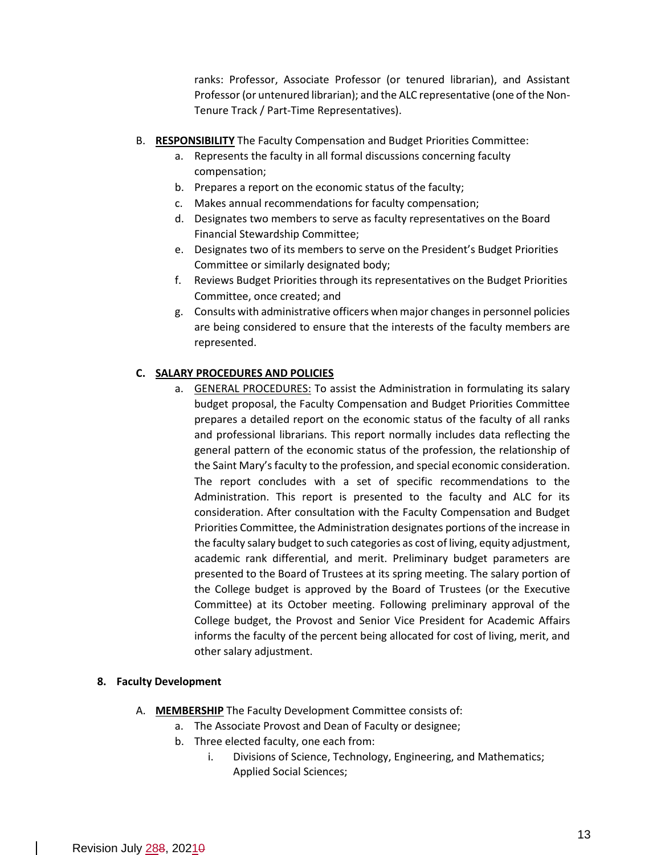ranks: Professor, Associate Professor (or tenured librarian), and Assistant Professor (or untenured librarian); and the ALC representative (one of the Non-Tenure Track / Part-Time Representatives).

- B. **RESPONSIBILITY** The Faculty Compensation and Budget Priorities Committee:
	- a. Represents the faculty in all formal discussions concerning faculty compensation;
	- b. Prepares a report on the economic status of the faculty;
	- c. Makes annual recommendations for faculty compensation;
	- d. Designates two members to serve as faculty representatives on the Board Financial Stewardship Committee;
	- e. Designates two of its members to serve on the President's Budget Priorities Committee or similarly designated body;
	- f. Reviews Budget Priorities through its representatives on the Budget Priorities Committee, once created; and
	- g. Consults with administrative officers when major changes in personnel policies are being considered to ensure that the interests of the faculty members are represented.

#### **C. SALARY PROCEDURES AND POLICIES**

a. GENERAL PROCEDURES: To assist the Administration in formulating its salary budget proposal, the Faculty Compensation and Budget Priorities Committee prepares a detailed report on the economic status of the faculty of all ranks and professional librarians. This report normally includes data reflecting the general pattern of the economic status of the profession, the relationship of the Saint Mary's faculty to the profession, and special economic consideration. The report concludes with a set of specific recommendations to the Administration. This report is presented to the faculty and ALC for its consideration. After consultation with the Faculty Compensation and Budget Priorities Committee, the Administration designates portions of the increase in the faculty salary budget to such categories as cost of living, equity adjustment, academic rank differential, and merit. Preliminary budget parameters are presented to the Board of Trustees at its spring meeting. The salary portion of the College budget is approved by the Board of Trustees (or the Executive Committee) at its October meeting. Following preliminary approval of the College budget, the Provost and Senior Vice President for Academic Affairs informs the faculty of the percent being allocated for cost of living, merit, and other salary adjustment.

#### **8. Faculty Development**

- A. **MEMBERSHIP** The Faculty Development Committee consists of:
	- a. The Associate Provost and Dean of Faculty or designee;
		- b. Three elected faculty, one each from:
			- i. Divisions of Science, Technology, Engineering, and Mathematics; Applied Social Sciences;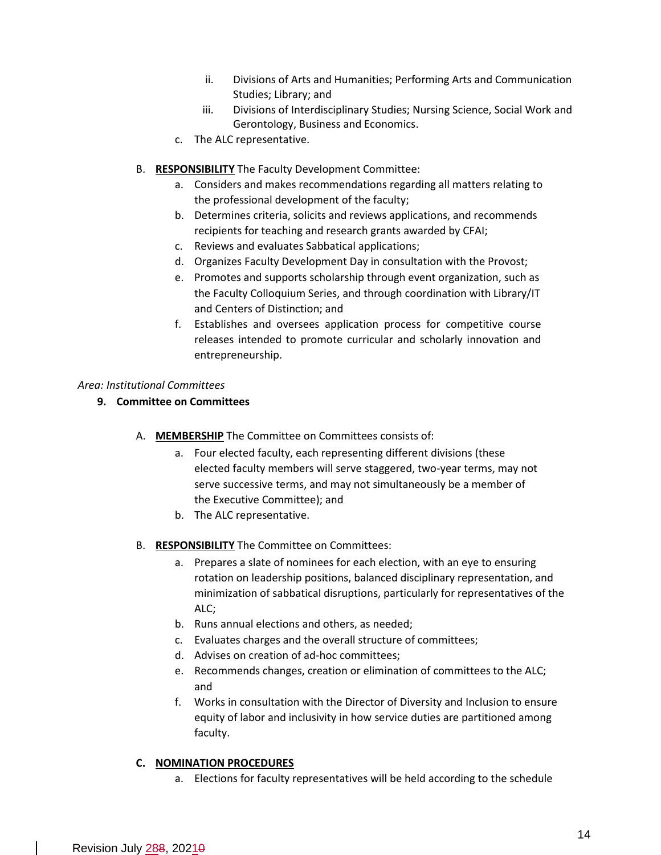- ii. Divisions of Arts and Humanities; Performing Arts and Communication Studies; Library; and
- iii. Divisions of Interdisciplinary Studies; Nursing Science, Social Work and Gerontology, Business and Economics.
- c. The ALC representative.
- B. **RESPONSIBILITY** The Faculty Development Committee:
	- a. Considers and makes recommendations regarding all matters relating to the professional development of the faculty;
	- b. Determines criteria, solicits and reviews applications, and recommends recipients for teaching and research grants awarded by CFAI;
	- c. Reviews and evaluates Sabbatical applications;
	- d. Organizes Faculty Development Day in consultation with the Provost;
	- e. Promotes and supports scholarship through event organization, such as the Faculty Colloquium Series, and through coordination with Library/IT and Centers of Distinction; and
	- f. Establishes and oversees application process for competitive course releases intended to promote curricular and scholarly innovation and entrepreneurship.

## *Area: Institutional Committees*

- **9. Committee on Committees**
	- A. **MEMBERSHIP** The Committee on Committees consists of:
		- a. Four elected faculty, each representing different divisions (these elected faculty members will serve staggered, two-year terms, may not serve successive terms, and may not simultaneously be a member of the Executive Committee); and
		- b. The ALC representative.
	- B. **RESPONSIBILITY** The Committee on Committees:
		- a. Prepares a slate of nominees for each election, with an eye to ensuring rotation on leadership positions, balanced disciplinary representation, and minimization of sabbatical disruptions, particularly for representatives of the ALC;
		- b. Runs annual elections and others, as needed;
		- c. Evaluates charges and the overall structure of committees;
		- d. Advises on creation of ad-hoc committees;
		- e. Recommends changes, creation or elimination of committees to the ALC; and
		- f. Works in consultation with the Director of Diversity and Inclusion to ensure equity of labor and inclusivity in how service duties are partitioned among faculty.

# **C. NOMINATION PROCEDURES**

a. Elections for faculty representatives will be held according to the schedule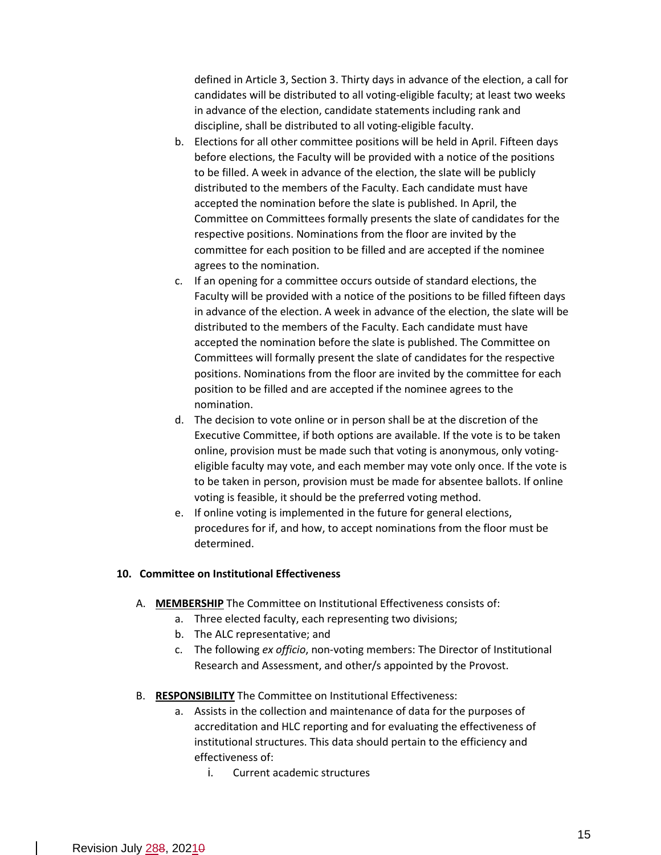defined in Article 3, Section 3. Thirty days in advance of the election, a call for candidates will be distributed to all voting-eligible faculty; at least two weeks in advance of the election, candidate statements including rank and discipline, shall be distributed to all voting-eligible faculty.

- b. Elections for all other committee positions will be held in April. Fifteen days before elections, the Faculty will be provided with a notice of the positions to be filled. A week in advance of the election, the slate will be publicly distributed to the members of the Faculty. Each candidate must have accepted the nomination before the slate is published. In April, the Committee on Committees formally presents the slate of candidates for the respective positions. Nominations from the floor are invited by the committee for each position to be filled and are accepted if the nominee agrees to the nomination.
- c. If an opening for a committee occurs outside of standard elections, the Faculty will be provided with a notice of the positions to be filled fifteen days in advance of the election. A week in advance of the election, the slate will be distributed to the members of the Faculty. Each candidate must have accepted the nomination before the slate is published. The Committee on Committees will formally present the slate of candidates for the respective positions. Nominations from the floor are invited by the committee for each position to be filled and are accepted if the nominee agrees to the nomination.
- d. The decision to vote online or in person shall be at the discretion of the Executive Committee, if both options are available. If the vote is to be taken online, provision must be made such that voting is anonymous, only votingeligible faculty may vote, and each member may vote only once. If the vote is to be taken in person, provision must be made for absentee ballots. If online voting is feasible, it should be the preferred voting method.
- e. If online voting is implemented in the future for general elections, procedures for if, and how, to accept nominations from the floor must be determined.

#### **10. Committee on Institutional Effectiveness**

- A. **MEMBERSHIP** The Committee on Institutional Effectiveness consists of:
	- a. Three elected faculty, each representing two divisions;
		- b. The ALC representative; and
		- c. The following *ex officio*, non-voting members: The Director of Institutional Research and Assessment, and other/s appointed by the Provost.
- B. **RESPONSIBILITY** The Committee on Institutional Effectiveness:
	- a. Assists in the collection and maintenance of data for the purposes of accreditation and HLC reporting and for evaluating the effectiveness of institutional structures. This data should pertain to the efficiency and effectiveness of:
		- i. Current academic structures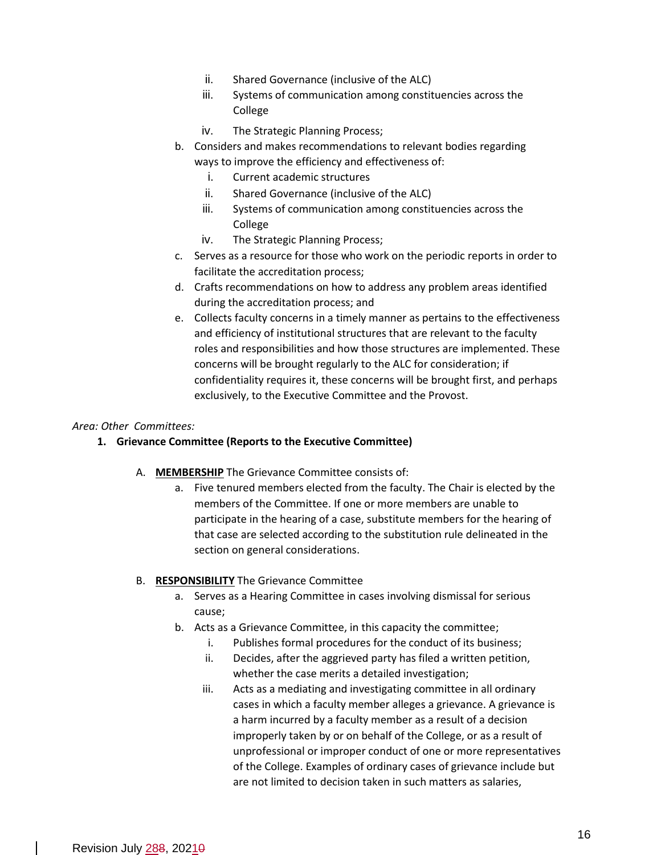- ii. Shared Governance (inclusive of the ALC)
- iii. Systems of communication among constituencies across the College
- iv. The Strategic Planning Process;
- b. Considers and makes recommendations to relevant bodies regarding ways to improve the efficiency and effectiveness of:
	- i. Current academic structures
	- ii. Shared Governance (inclusive of the ALC)
	- iii. Systems of communication among constituencies across the College
	- iv. The Strategic Planning Process;
- c. Serves as a resource for those who work on the periodic reports in order to facilitate the accreditation process;
- d. Crafts recommendations on how to address any problem areas identified during the accreditation process; and
- e. Collects faculty concerns in a timely manner as pertains to the effectiveness and efficiency of institutional structures that are relevant to the faculty roles and responsibilities and how those structures are implemented. These concerns will be brought regularly to the ALC for consideration; if confidentiality requires it, these concerns will be brought first, and perhaps exclusively, to the Executive Committee and the Provost.

#### *Area: Other Committees:*

#### **1. Grievance Committee (Reports to the Executive Committee)**

- A. **MEMBERSHIP** The Grievance Committee consists of:
	- a. Five tenured members elected from the faculty. The Chair is elected by the members of the Committee. If one or more members are unable to participate in the hearing of a case, substitute members for the hearing of that case are selected according to the substitution rule delineated in the section on general considerations.

#### B. **RESPONSIBILITY** The Grievance Committee

- a. Serves as a Hearing Committee in cases involving dismissal for serious cause;
- b. Acts as a Grievance Committee, in this capacity the committee;
	- i. Publishes formal procedures for the conduct of its business;
	- ii. Decides, after the aggrieved party has filed a written petition, whether the case merits a detailed investigation;
	- iii. Acts as a mediating and investigating committee in all ordinary cases in which a faculty member alleges a grievance. A grievance is a harm incurred by a faculty member as a result of a decision improperly taken by or on behalf of the College, or as a result of unprofessional or improper conduct of one or more representatives of the College. Examples of ordinary cases of grievance include but are not limited to decision taken in such matters as salaries,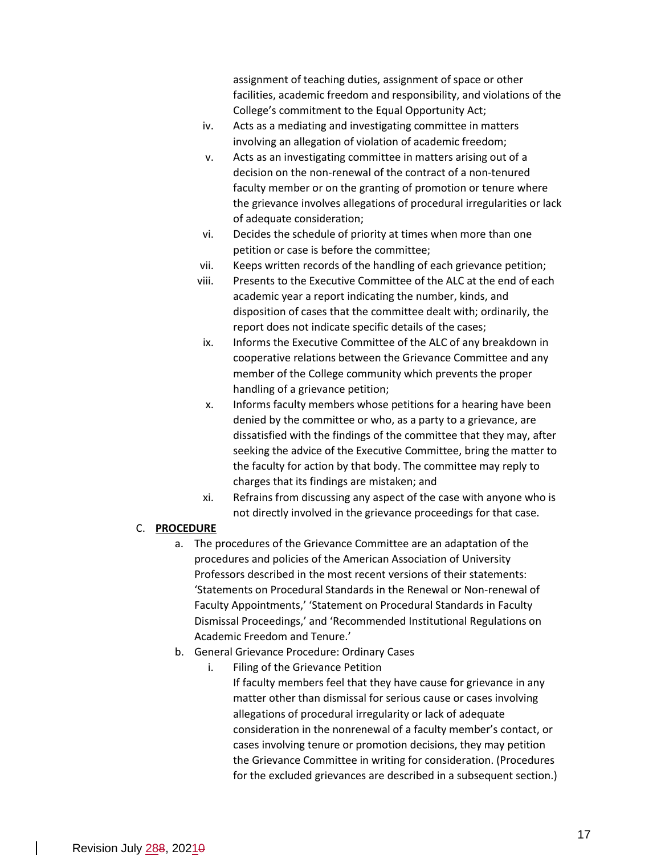assignment of teaching duties, assignment of space or other facilities, academic freedom and responsibility, and violations of the College's commitment to the Equal Opportunity Act;

- iv. Acts as a mediating and investigating committee in matters involving an allegation of violation of academic freedom;
- v. Acts as an investigating committee in matters arising out of a decision on the non-renewal of the contract of a non-tenured faculty member or on the granting of promotion or tenure where the grievance involves allegations of procedural irregularities or lack of adequate consideration;
- vi. Decides the schedule of priority at times when more than one petition or case is before the committee;
- vii. Keeps written records of the handling of each grievance petition;
- viii. Presents to the Executive Committee of the ALC at the end of each academic year a report indicating the number, kinds, and disposition of cases that the committee dealt with; ordinarily, the report does not indicate specific details of the cases;
- ix. Informs the Executive Committee of the ALC of any breakdown in cooperative relations between the Grievance Committee and any member of the College community which prevents the proper handling of a grievance petition;
- x. Informs faculty members whose petitions for a hearing have been denied by the committee or who, as a party to a grievance, are dissatisfied with the findings of the committee that they may, after seeking the advice of the Executive Committee, bring the matter to the faculty for action by that body. The committee may reply to charges that its findings are mistaken; and
- xi. Refrains from discussing any aspect of the case with anyone who is not directly involved in the grievance proceedings for that case.

#### C. **PROCEDURE**

- a. The procedures of the Grievance Committee are an adaptation of the procedures and policies of the American Association of University Professors described in the most recent versions of their statements: 'Statements on Procedural Standards in the Renewal or Non-renewal of Faculty Appointments,' 'Statement on Procedural Standards in Faculty Dismissal Proceedings,' and 'Recommended Institutional Regulations on Academic Freedom and Tenure.'
- b. General Grievance Procedure: Ordinary Cases
	- i. Filing of the Grievance Petition If faculty members feel that they have cause for grievance in any matter other than dismissal for serious cause or cases involving allegations of procedural irregularity or lack of adequate consideration in the nonrenewal of a faculty member's contact, or cases involving tenure or promotion decisions, they may petition the Grievance Committee in writing for consideration. (Procedures for the excluded grievances are described in a subsequent section.)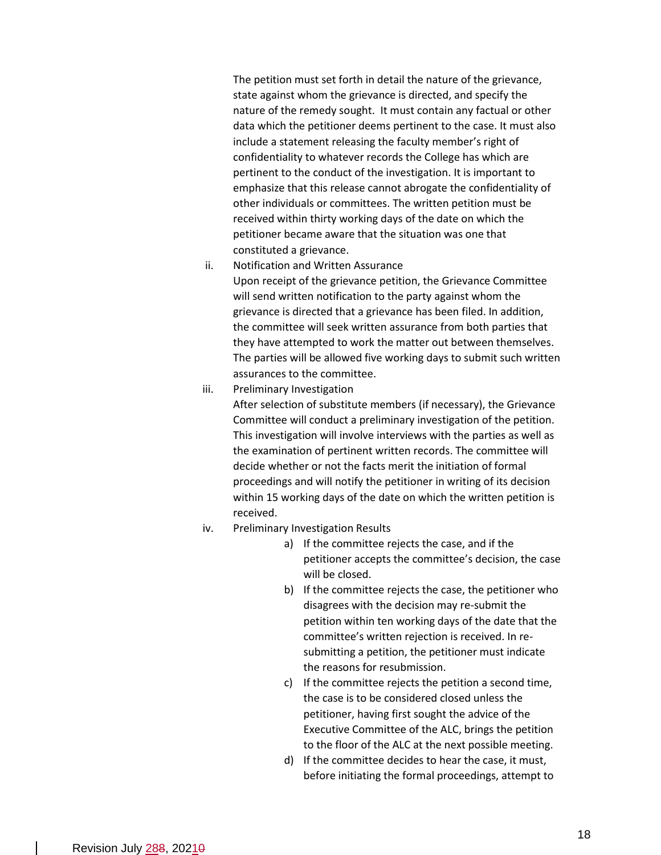The petition must set forth in detail the nature of the grievance, state against whom the grievance is directed, and specify the nature of the remedy sought. It must contain any factual or other data which the petitioner deems pertinent to the case. It must also include a statement releasing the faculty member's right of confidentiality to whatever records the College has which are pertinent to the conduct of the investigation. It is important to emphasize that this release cannot abrogate the confidentiality of other individuals or committees. The written petition must be received within thirty working days of the date on which the petitioner became aware that the situation was one that constituted a grievance.

ii. Notification and Written Assurance

Upon receipt of the grievance petition, the Grievance Committee will send written notification to the party against whom the grievance is directed that a grievance has been filed. In addition, the committee will seek written assurance from both parties that they have attempted to work the matter out between themselves. The parties will be allowed five working days to submit such written assurances to the committee.

iii. Preliminary Investigation

After selection of substitute members (if necessary), the Grievance Committee will conduct a preliminary investigation of the petition. This investigation will involve interviews with the parties as well as the examination of pertinent written records. The committee will decide whether or not the facts merit the initiation of formal proceedings and will notify the petitioner in writing of its decision within 15 working days of the date on which the written petition is received.

- iv. Preliminary Investigation Results
	- a) If the committee rejects the case, and if the petitioner accepts the committee's decision, the case will be closed.
	- b) If the committee rejects the case, the petitioner who disagrees with the decision may re-submit the petition within ten working days of the date that the committee's written rejection is received. In resubmitting a petition, the petitioner must indicate the reasons for resubmission.
	- c) If the committee rejects the petition a second time, the case is to be considered closed unless the petitioner, having first sought the advice of the Executive Committee of the ALC, brings the petition to the floor of the ALC at the next possible meeting.
	- d) If the committee decides to hear the case, it must, before initiating the formal proceedings, attempt to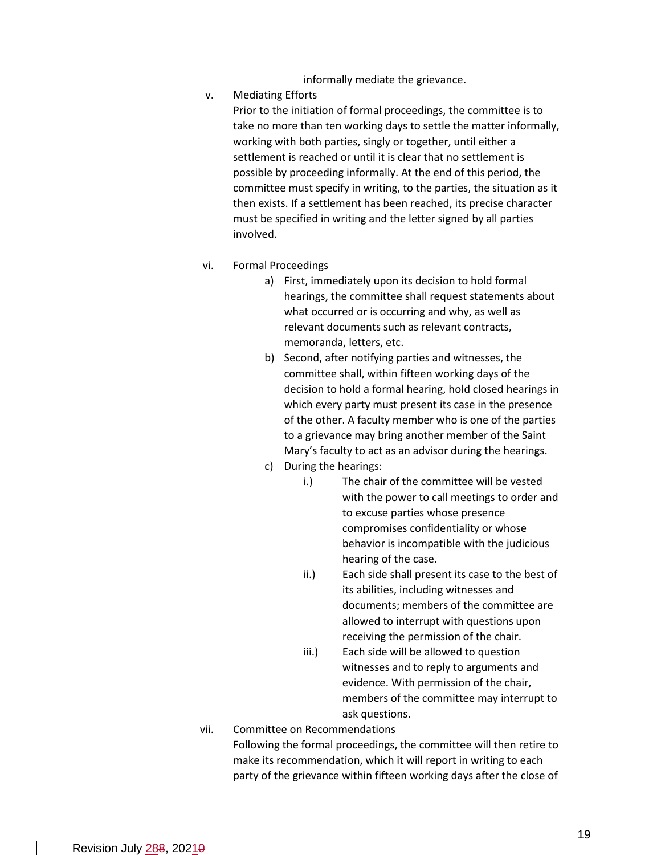informally mediate the grievance.

v. Mediating Efforts

Prior to the initiation of formal proceedings, the committee is to take no more than ten working days to settle the matter informally, working with both parties, singly or together, until either a settlement is reached or until it is clear that no settlement is possible by proceeding informally. At the end of this period, the committee must specify in writing, to the parties, the situation as it then exists. If a settlement has been reached, its precise character must be specified in writing and the letter signed by all parties involved.

- vi. Formal Proceedings
	- a) First, immediately upon its decision to hold formal hearings, the committee shall request statements about what occurred or is occurring and why, as well as relevant documents such as relevant contracts, memoranda, letters, etc.
	- b) Second, after notifying parties and witnesses, the committee shall, within fifteen working days of the decision to hold a formal hearing, hold closed hearings in which every party must present its case in the presence of the other. A faculty member who is one of the parties to a grievance may bring another member of the Saint Mary's faculty to act as an advisor during the hearings.
	- c) During the hearings:
		- i.) The chair of the committee will be vested with the power to call meetings to order and to excuse parties whose presence compromises confidentiality or whose behavior is incompatible with the judicious hearing of the case.
		- ii.) Each side shall present its case to the best of its abilities, including witnesses and documents; members of the committee are allowed to interrupt with questions upon receiving the permission of the chair.
		- iii.) Each side will be allowed to question witnesses and to reply to arguments and evidence. With permission of the chair, members of the committee may interrupt to ask questions.

# vii. Committee on Recommendations Following the formal proceedings, the committee will then retire to make its recommendation, which it will report in writing to each party of the grievance within fifteen working days after the close of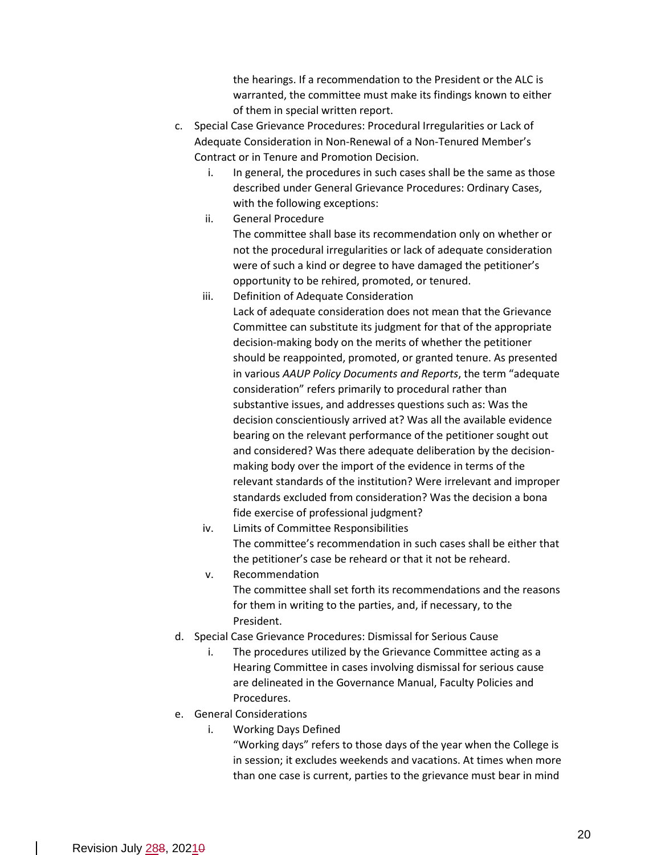the hearings. If a recommendation to the President or the ALC is warranted, the committee must make its findings known to either of them in special written report.

- c. Special Case Grievance Procedures: Procedural Irregularities or Lack of Adequate Consideration in Non-Renewal of a Non-Tenured Member's Contract or in Tenure and Promotion Decision.
	- i. In general, the procedures in such cases shall be the same as those described under General Grievance Procedures: Ordinary Cases, with the following exceptions:
	- ii. General Procedure

The committee shall base its recommendation only on whether or not the procedural irregularities or lack of adequate consideration were of such a kind or degree to have damaged the petitioner's opportunity to be rehired, promoted, or tenured.

iii. Definition of Adequate Consideration

Lack of adequate consideration does not mean that the Grievance Committee can substitute its judgment for that of the appropriate decision-making body on the merits of whether the petitioner should be reappointed, promoted, or granted tenure. As presented in various *AAUP Policy Documents and Reports*, the term "adequate consideration" refers primarily to procedural rather than substantive issues, and addresses questions such as: Was the decision conscientiously arrived at? Was all the available evidence bearing on the relevant performance of the petitioner sought out and considered? Was there adequate deliberation by the decisionmaking body over the import of the evidence in terms of the relevant standards of the institution? Were irrelevant and improper standards excluded from consideration? Was the decision a bona fide exercise of professional judgment?

- iv. Limits of Committee Responsibilities The committee's recommendation in such cases shall be either that the petitioner's case be reheard or that it not be reheard.
- v. Recommendation The committee shall set forth its recommendations and the reasons for them in writing to the parties, and, if necessary, to the President.
- d. Special Case Grievance Procedures: Dismissal for Serious Cause
	- i. The procedures utilized by the Grievance Committee acting as a Hearing Committee in cases involving dismissal for serious cause are delineated in the Governance Manual, Faculty Policies and Procedures.
- e. General Considerations
	- i. Working Days Defined

"Working days" refers to those days of the year when the College is in session; it excludes weekends and vacations. At times when more than one case is current, parties to the grievance must bear in mind